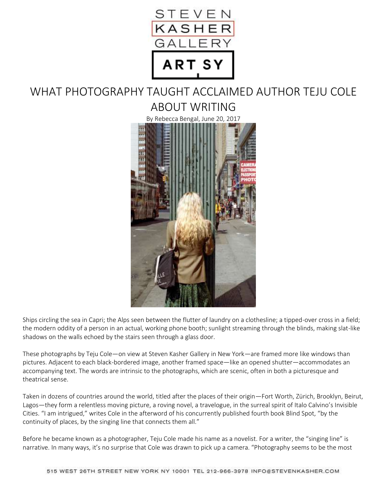

## WHAT PHOTOGRAPHY TAUGHT ACCLAIMED AUTHOR TEJU COLE ABOUT WRITING



Ships circling the sea in Capri; the Alps seen between the flutter of laundry on a clothesline; a tipped-over cross in a field; the modern oddity of a person in an actual, working phone booth; sunlight streaming through the blinds, making slat-like shadows on the walls echoed by the stairs seen through a glass door.

These photographs by Teju Cole—on view at Steven Kasher Gallery in New York—are framed more like windows than pictures. Adjacent to each black-bordered image, another framed space—like an opened shutter—accommodates an accompanying text. The words are intrinsic to the photographs, which are scenic, often in both a picturesque and theatrical sense.

Taken in dozens of countries around the world, titled after the places of their origin—Fort Worth, Zürich, Brooklyn, Beirut, Lagos—they form a relentless moving picture, a roving novel, a travelogue, in the surreal spirit of Italo Calvino's Invisible Cities. "I am intrigued," writes Cole in the afterword of his concurrently published fourth book Blind Spot, "by the continuity of places, by the singing line that connects them all."

Before he became known as a photographer, Teju Cole made his name as a novelist. For a writer, the "singing line" is narrative. In many ways, it's no surprise that Cole was drawn to pick up a camera. "Photography seems to be the most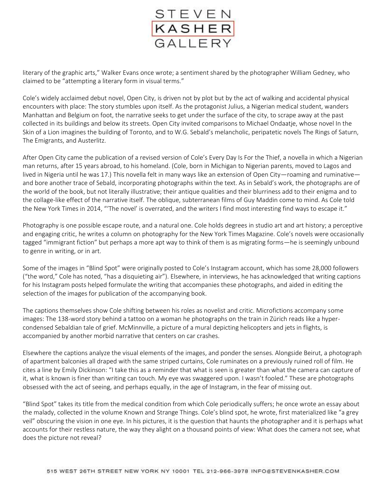

literary of the graphic arts," Walker Evans once wrote; a sentiment shared by the photographer William Gedney, who claimed to be "attempting a literary form in visual terms."

Cole's widely acclaimed debut novel, Open City, is driven not by plot but by the act of walking and accidental physical encounters with place: The story stumbles upon itself. As the protagonist Julius, a Nigerian medical student, wanders Manhattan and Belgium on foot, the narrative seeks to get under the surface of the city, to scrape away at the past collected in its buildings and below its streets. Open City invited comparisons to Michael Ondaatje, whose novel In the Skin of a Lion imagines the building of Toronto, and to W.G. Sebald's melancholic, peripatetic novels The Rings of Saturn, The Emigrants, and Austerlitz.

After Open City came the publication of a revised version of Cole's Every Day Is For the Thief, a novella in which a Nigerian man returns, after 15 years abroad, to his homeland. (Cole, born in Michigan to Nigerian parents, moved to Lagos and lived in Nigeria until he was 17.) This novella felt in many ways like an extension of Open City—roaming and ruminative and bore another trace of Sebald, incorporating photographs within the text. As in Sebald's work, the photographs are of the world of the book, but not literally illustrative; their antique qualities and their blurriness add to their enigma and to the collage-like effect of the narrative itself. The oblique, subterranean films of Guy Maddin come to mind. As Cole told the New York Times in 2014, "'The novel' is overrated, and the writers I find most interesting find ways to escape it."

Photography is one possible escape route, and a natural one. Cole holds degrees in studio art and art history; a perceptive and engaging critic, he writes a column on photography for the New York Times Magazine. Cole's novels were occasionally tagged "immigrant fiction" but perhaps a more apt way to think of them is as migrating forms—he is seemingly unbound to genre in writing, or in art.

Some of the images in "Blind Spot" were originally posted to Cole's Instagram account, which has some 28,000 followers ("the word," Cole has noted, "has a disquieting air"). Elsewhere, in interviews, he has acknowledged that writing captions for his Instagram posts helped formulate the writing that accompanies these photographs, and aided in editing the selection of the images for publication of the accompanying book.

The captions themselves show Cole shifting between his roles as novelist and critic. Microfictions accompany some images: The 138-word story behind a tattoo on a woman he photographs on the train in Zürich reads like a hypercondensed Sebaldian tale of grief. McMinnville, a picture of a mural depicting helicopters and jets in flights, is accompanied by another morbid narrative that centers on car crashes.

Elsewhere the captions analyze the visual elements of the images, and ponder the senses. Alongside Beirut, a photograph of apartment balconies all draped with the same striped curtains, Cole ruminates on a previously ruined roll of film. He cites a line by Emily Dickinson: "I take this as a reminder that what is seen is greater than what the camera can capture of it, what is known is finer than writing can touch. My eye was swaggered upon. I wasn't fooled." These are photographs obsessed with the act of seeing, and perhaps equally, in the age of Instagram, in the fear of missing out.

"Blind Spot" takes its title from the medical condition from which Cole periodically suffers; he once wrote an essay about the malady, collected in the volume Known and Strange Things. Cole's blind spot, he wrote, first materialized like "a grey veil" obscuring the vision in one eye. In his pictures, it is the question that haunts the photographer and it is perhaps what accounts for their restless nature, the way they alight on a thousand points of view: What does the camera not see, what does the picture not reveal?